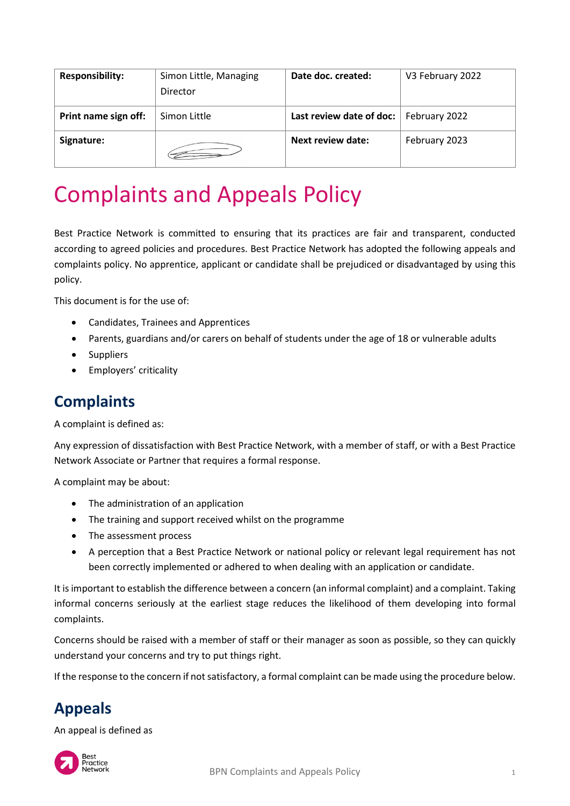| <b>Responsibility:</b> | Simon Little, Managing<br>Director | Date doc. created:                       | V3 February 2022 |
|------------------------|------------------------------------|------------------------------------------|------------------|
| Print name sign off:   | Simon Little                       | Last review date of doc:   February 2022 |                  |
| Signature:             |                                    | Next review date:                        | February 2023    |

# Complaints and Appeals Policy

Best Practice Network is committed to ensuring that its practices are fair and transparent, conducted according to agreed policies and procedures. Best Practice Network has adopted the following appeals and complaints policy. No apprentice, applicant or candidate shall be prejudiced or disadvantaged by using this policy.

This document is for the use of:

- Candidates, Trainees and Apprentices
- Parents, guardians and/or carers on behalf of students under the age of 18 or vulnerable adults
- Suppliers
- Employers' criticality

## **Complaints**

A complaint is defined as:

Any expression of dissatisfaction with Best Practice Network, with a member of staff, or with a Best Practice Network Associate or Partner that requires a formal response.

A complaint may be about:

- The administration of an application
- The training and support received whilst on the programme
- The assessment process
- A perception that a Best Practice Network or national policy or relevant legal requirement has not been correctly implemented or adhered to when dealing with an application or candidate.

It is important to establish the difference between a concern (an informal complaint) and a complaint. Taking informal concerns seriously at the earliest stage reduces the likelihood of them developing into formal complaints.

Concerns should be raised with a member of staff or their manager as soon as possible, so they can quickly understand your concerns and try to put things right.

If the response to the concern if not satisfactory, a formal complaint can be made using the procedure below.

# **Appeals**

An appeal is defined as

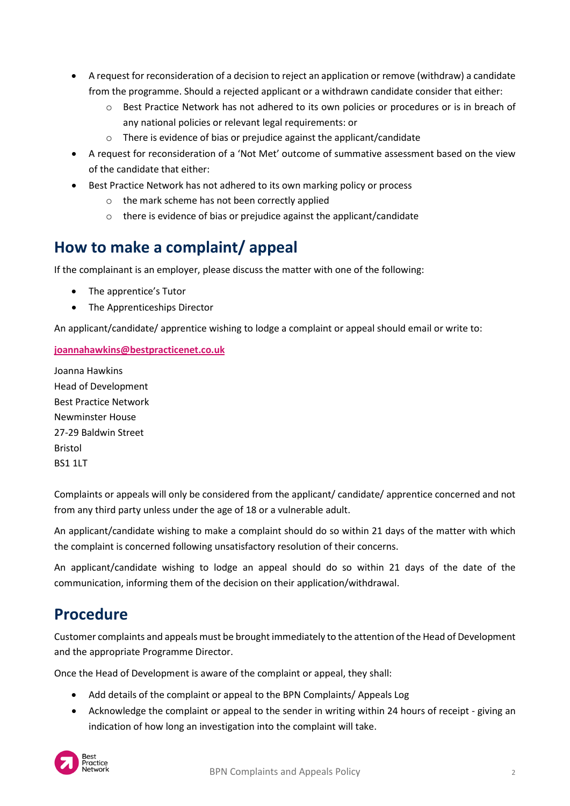- A request for reconsideration of a decision to reject an application or remove (withdraw) a candidate from the programme. Should a rejected applicant or a withdrawn candidate consider that either:
	- o Best Practice Network has not adhered to its own policies or procedures or is in breach of any national policies or relevant legal requirements: or
	- o There is evidence of bias or prejudice against the applicant/candidate
- A request for reconsideration of a 'Not Met' outcome of summative assessment based on the view of the candidate that either:
- Best Practice Network has not adhered to its own marking policy or process
	- o the mark scheme has not been correctly applied
	- o there is evidence of bias or prejudice against the applicant/candidate

## **How to make a complaint/ appeal**

If the complainant is an employer, please discuss the matter with one of the following:

- The apprentice's Tutor
- The Apprenticeships Director

An applicant/candidate/ apprentice wishing to lodge a complaint or appeal should email or write to:

### **[joannahawkins@bestpracticenet.co.uk](mailto:joannahawkins@bestprracticenet.co.uk)**

Joanna Hawkins Head of Development Best Practice Network Newminster House 27-29 Baldwin Street Bristol BS1 1LT

Complaints or appeals will only be considered from the applicant/ candidate/ apprentice concerned and not from any third party unless under the age of 18 or a vulnerable adult.

An applicant/candidate wishing to make a complaint should do so within 21 days of the matter with which the complaint is concerned following unsatisfactory resolution of their concerns.

An applicant/candidate wishing to lodge an appeal should do so within 21 days of the date of the communication, informing them of the decision on their application/withdrawal.

## **Procedure**

Customer complaints and appeals must be brought immediately to the attention of the Head of Development and the appropriate Programme Director.

Once the Head of Development is aware of the complaint or appeal, they shall:

- Add details of the complaint or appeal to the BPN Complaints/ Appeals Log
- Acknowledge the complaint or appeal to the sender in writing within 24 hours of receipt giving an indication of how long an investigation into the complaint will take.

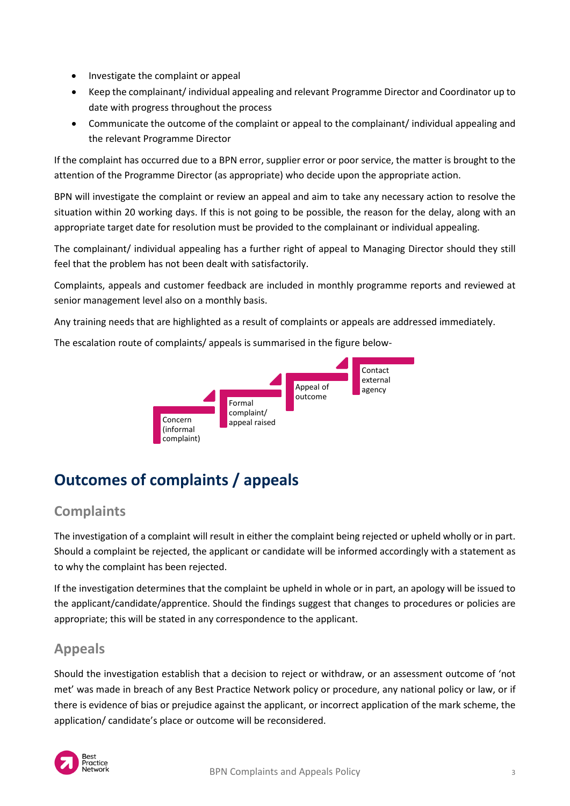- Investigate the complaint or appeal
- Keep the complainant/ individual appealing and relevant Programme Director and Coordinator up to date with progress throughout the process
- Communicate the outcome of the complaint or appeal to the complainant/ individual appealing and the relevant Programme Director

If the complaint has occurred due to a BPN error, supplier error or poor service, the matter is brought to the attention of the Programme Director (as appropriate) who decide upon the appropriate action.

BPN will investigate the complaint or review an appeal and aim to take any necessary action to resolve the situation within 20 working days. If this is not going to be possible, the reason for the delay, along with an appropriate target date for resolution must be provided to the complainant or individual appealing.

The complainant/ individual appealing has a further right of appeal to Managing Director should they still feel that the problem has not been dealt with satisfactorily.

Complaints, appeals and customer feedback are included in monthly programme reports and reviewed at senior management level also on a monthly basis.

Any training needs that are highlighted as a result of complaints or appeals are addressed immediately.

The escalation route of complaints/ appeals is summarised in the figure below-



# **Outcomes of complaints / appeals**

## **Complaints**

The investigation of a complaint will result in either the complaint being rejected or upheld wholly or in part. Should a complaint be rejected, the applicant or candidate will be informed accordingly with a statement as to why the complaint has been rejected.

If the investigation determines that the complaint be upheld in whole or in part, an apology will be issued to the applicant/candidate/apprentice. Should the findings suggest that changes to procedures or policies are appropriate; this will be stated in any correspondence to the applicant.

## **Appeals**

Should the investigation establish that a decision to reject or withdraw, or an assessment outcome of 'not met' was made in breach of any Best Practice Network policy or procedure, any national policy or law, or if there is evidence of bias or prejudice against the applicant, or incorrect application of the mark scheme, the application/ candidate's place or outcome will be reconsidered.